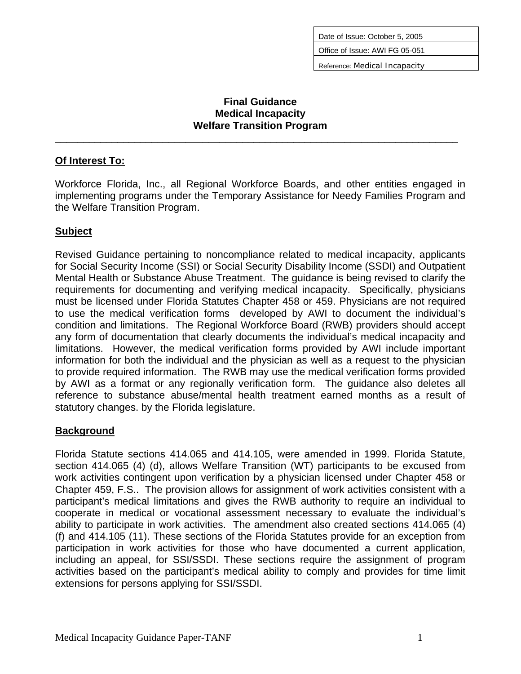Date of Issue: October 5, 2005

Office of Issue: AWI FG 05-051

Reference: Medical Incapacity

#### **Final Guidance Medical Incapacity Welfare Transition Program**

\_\_\_\_\_\_\_\_\_\_\_\_\_\_\_\_\_\_\_\_\_\_\_\_\_\_\_\_\_\_\_\_\_\_\_\_\_\_\_\_\_\_\_\_\_\_\_\_\_\_\_\_\_\_\_\_\_\_\_\_\_\_\_\_\_\_\_\_\_\_\_

### **Of Interest To:**

Workforce Florida, Inc., all Regional Workforce Boards, and other entities engaged in implementing programs under the Temporary Assistance for Needy Families Program and the Welfare Transition Program.

## **Subject**

Revised Guidance pertaining to noncompliance related to medical incapacity, applicants for Social Security Income (SSI) or Social Security Disability Income (SSDI) and Outpatient Mental Health or Substance Abuse Treatment. The guidance is being revised to clarify the requirements for documenting and verifying medical incapacity. Specifically, physicians must be licensed under Florida Statutes Chapter 458 or 459. Physicians are not required to use the medical verification forms developed by AWI to document the individual's condition and limitations. The Regional Workforce Board (RWB) providers should accept any form of documentation that clearly documents the individual's medical incapacity and limitations. However, the medical verification forms provided by AWI include important information for both the individual and the physician as well as a request to the physician to provide required information. The RWB may use the medical verification forms provided by AWI as a format or any regionally verification form. The guidance also deletes all reference to substance abuse/mental health treatment earned months as a result of statutory changes. by the Florida legislature.

### **Background**

Florida Statute sections 414.065 and 414.105, were amended in 1999. Florida Statute, section 414.065 (4) (d), allows Welfare Transition (WT) participants to be excused from work activities contingent upon verification by a physician licensed under Chapter 458 or Chapter 459, F.S.. The provision allows for assignment of work activities consistent with a participant's medical limitations and gives the RWB authority to require an individual to cooperate in medical or vocational assessment necessary to evaluate the individual's ability to participate in work activities. The amendment also created sections 414.065 (4) (f) and 414.105 (11). These sections of the Florida Statutes provide for an exception from participation in work activities for those who have documented a current application, including an appeal, for SSI/SSDI. These sections require the assignment of program activities based on the participant's medical ability to comply and provides for time limit extensions for persons applying for SSI/SSDI.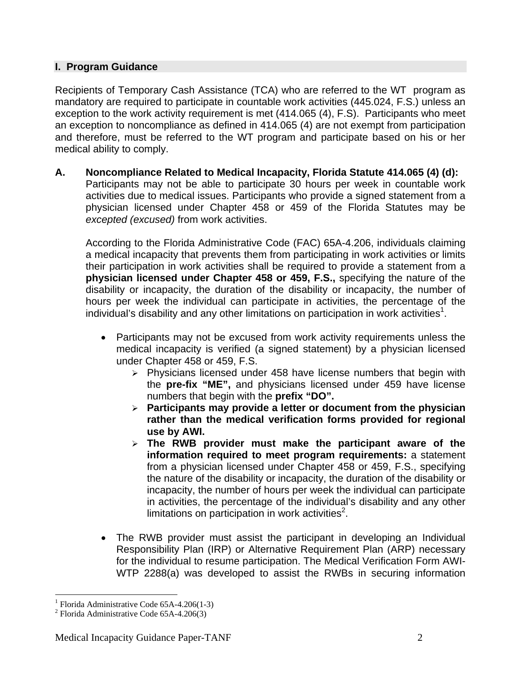### **I. Program Guidance**

Recipients of Temporary Cash Assistance (TCA) who are referred to the WT program as mandatory are required to participate in countable work activities (445.024, F.S.) unless an exception to the work activity requirement is met (414.065 (4), F.S). Participants who meet an exception to noncompliance as defined in 414.065 (4) are not exempt from participation and therefore, must be referred to the WT program and participate based on his or her medical ability to comply.

**A. Noncompliance Related to Medical Incapacity, Florida Statute 414.065 (4) (d):** Participants may not be able to participate 30 hours per week in countable work activities due to medical issues. Participants who provide a signed statement from a physician licensed under Chapter 458 or 459 of the Florida Statutes may be *excepted (excused)* from work activities.

According to the Florida Administrative Code (FAC) 65A-4.206, individuals claiming a medical incapacity that prevents them from participating in work activities or limits their participation in work activities shall be required to provide a statement from a **physician licensed under Chapter 458 or 459, F.S.,** specifying the nature of the disability or incapacity, the duration of the disability or incapacity, the number of hours per week the individual can participate in activities, the percentage of the individual's disability and any other limitations on participation in work activities<sup>[1](#page-1-0)</sup>.

- Participants may not be excused from work activity requirements unless the medical incapacity is verified (a signed statement) by a physician licensed under Chapter 458 or 459, F.S.
	- $\geq$  Physicians licensed under 458 have license numbers that begin with the **pre-fix "ME",** and physicians licensed under 459 have license numbers that begin with the **prefix "DO".**
	- ¾ **Participants may provide a letter or document from the physician rather than the medical verification forms provided for regional use by AWI.**
	- ¾ **The RWB provider must make the participant aware of the information required to meet program requirements:** a statement from a physician licensed under Chapter 458 or 459, F.S., specifying the nature of the disability or incapacity, the duration of the disability or incapacity, the number of hours per week the individual can participate in activities, the percentage of the individual's disability and any other limitations on participation in work activities $2$ .
- The RWB provider must assist the participant in developing an Individual Responsibility Plan (IRP) or Alternative Requirement Plan (ARP) necessary for the individual to resume participation. The Medical Verification Form AWI-WTP 2288(a) was developed to assist the RWBs in securing information

 $\overline{a}$ 

<span id="page-1-0"></span><sup>&</sup>lt;sup>1</sup> Florida Administrative Code 65A-4.206(1-3)<sup>2</sup> Electida Administrative Code 65A-4.206(3)

<span id="page-1-1"></span> $2$  Florida Administrative Code 65A-4.206(3)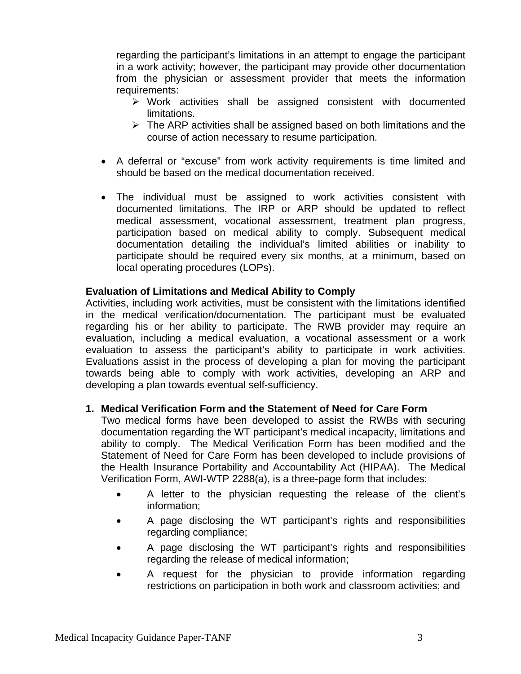regarding the participant's limitations in an attempt to engage the participant in a work activity; however, the participant may provide other documentation from the physician or assessment provider that meets the information requirements:

- $\triangleright$  Work activities shall be assigned consistent with documented limitations.
- $\triangleright$  The ARP activities shall be assigned based on both limitations and the course of action necessary to resume participation.
- A deferral or "excuse" from work activity requirements is time limited and should be based on the medical documentation received.
- The individual must be assigned to work activities consistent with documented limitations. The IRP or ARP should be updated to reflect medical assessment, vocational assessment, treatment plan progress, participation based on medical ability to comply. Subsequent medical documentation detailing the individual's limited abilities or inability to participate should be required every six months, at a minimum, based on local operating procedures (LOPs).

### **Evaluation of Limitations and Medical Ability to Comply**

Activities, including work activities, must be consistent with the limitations identified in the medical verification/documentation. The participant must be evaluated regarding his or her ability to participate. The RWB provider may require an evaluation, including a medical evaluation, a vocational assessment or a work evaluation to assess the participant's ability to participate in work activities. Evaluations assist in the process of developing a plan for moving the participant towards being able to comply with work activities, developing an ARP and developing a plan towards eventual self-sufficiency.

#### **1. Medical Verification Form and the Statement of Need for Care Form**

Two medical forms have been developed to assist the RWBs with securing documentation regarding the WT participant's medical incapacity, limitations and ability to comply. The Medical Verification Form has been modified and the Statement of Need for Care Form has been developed to include provisions of the Health Insurance Portability and Accountability Act (HIPAA). The Medical Verification Form, AWI-WTP 2288(a), is a three-page form that includes:

- A letter to the physician requesting the release of the client's information;
- A page disclosing the WT participant's rights and responsibilities regarding compliance;
- A page disclosing the WT participant's rights and responsibilities regarding the release of medical information;
- A request for the physician to provide information regarding restrictions on participation in both work and classroom activities; and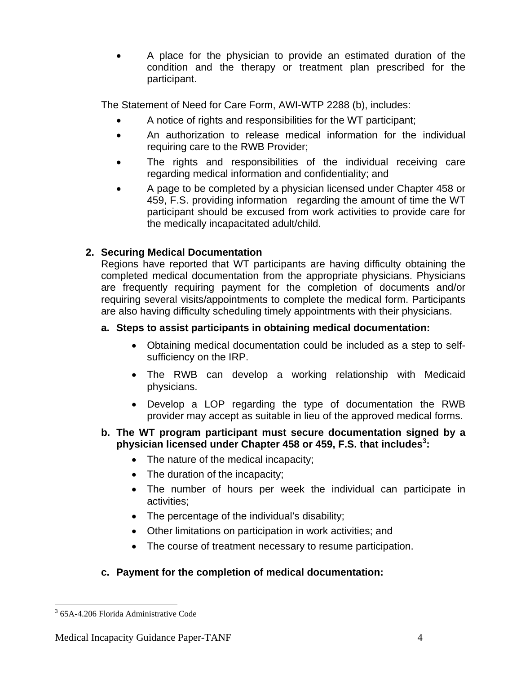• A place for the physician to provide an estimated duration of the condition and the therapy or treatment plan prescribed for the participant.

The Statement of Need for Care Form, AWI-WTP 2288 (b), includes:

- A notice of rights and responsibilities for the WT participant;
- An authorization to release medical information for the individual requiring care to the RWB Provider;
- The rights and responsibilities of the individual receiving care regarding medical information and confidentiality; and
- A page to be completed by a physician licensed under Chapter 458 or 459, F.S. providing information regarding the amount of time the WT participant should be excused from work activities to provide care for the medically incapacitated adult/child.

# **2. Securing Medical Documentation**

Regions have reported that WT participants are having difficulty obtaining the completed medical documentation from the appropriate physicians. Physicians are frequently requiring payment for the completion of documents and/or requiring several visits/appointments to complete the medical form. Participants are also having difficulty scheduling timely appointments with their physicians.

## **a. Steps to assist participants in obtaining medical documentation:**

- Obtaining medical documentation could be included as a step to selfsufficiency on the IRP.
- The RWB can develop a working relationship with Medicaid physicians.
- Develop a LOP regarding the type of documentation the RWB provider may accept as suitable in lieu of the approved medical forms.

### **b. The WT program participant must secure documentation signed by a physician licensed under Chapter 458 or 459, F.S. that includes[3](#page-3-0) :**

- The nature of the medical incapacity;
- The duration of the incapacity;
- The number of hours per week the individual can participate in activities;
- The percentage of the individual's disability;
- Other limitations on participation in work activities; and
- The course of treatment necessary to resume participation.

# **c. Payment for the completion of medical documentation:**

<span id="page-3-0"></span> 3 65A-4.206 Florida Administrative Code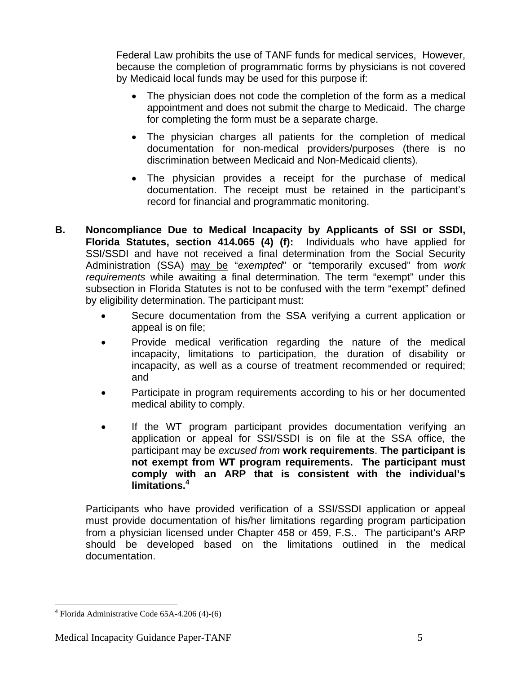Federal Law prohibits the use of TANF funds for medical services, However, because the completion of programmatic forms by physicians is not covered by Medicaid local funds may be used for this purpose if:

- The physician does not code the completion of the form as a medical appointment and does not submit the charge to Medicaid. The charge for completing the form must be a separate charge.
- The physician charges all patients for the completion of medical documentation for non-medical providers/purposes (there is no discrimination between Medicaid and Non-Medicaid clients).
- The physician provides a receipt for the purchase of medical documentation. The receipt must be retained in the participant's record for financial and programmatic monitoring.
- **B. Noncompliance Due to Medical Incapacity by Applicants of SSI or SSDI, Florida Statutes, section 414.065 (4) (f):** Individuals who have applied for SSI/SSDI and have not received a final determination from the Social Security Administration (SSA) may be "*exempted*" or "temporarily excused" from *work requirements* while awaiting a final determination. The term "exempt" under this subsection in Florida Statutes is not to be confused with the term "exempt" defined by eligibility determination. The participant must:
	- Secure documentation from the SSA verifying a current application or appeal is on file;
	- Provide medical verification regarding the nature of the medical incapacity, limitations to participation, the duration of disability or incapacity, as well as a course of treatment recommended or required; and
	- Participate in program requirements according to his or her documented medical ability to comply.
	- If the WT program participant provides documentation verifying an application or appeal for SSI/SSDI is on file at the SSA office, the participant may be *excused from* **work requirements**. **The participant is not exempt from WT program requirements. The participant must comply with an ARP that is consistent with the individual's limitations. 4**

Participants who have provided verification of a SSI/SSDI application or appeal must provide documentation of his/her limitations regarding program participation from a physician licensed under Chapter 458 or 459, F.S.. The participant's ARP should be developed based on the limitations outlined in the medical documentation.

<span id="page-4-0"></span> $\overline{a}$ 4 Florida Administrative Code 65A-4.206 (4)-(6)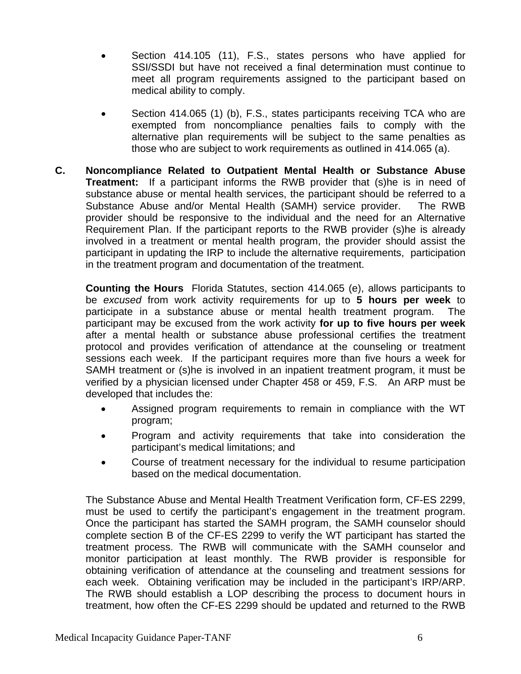- Section 414.105 (11), F.S., states persons who have applied for SSI/SSDI but have not received a final determination must continue to meet all program requirements assigned to the participant based on medical ability to comply.
- Section 414.065 (1) (b), F.S., states participants receiving TCA who are exempted from noncompliance penalties fails to comply with the alternative plan requirements will be subject to the same penalties as those who are subject to work requirements as outlined in 414.065 (a).
- **C. Noncompliance Related to Outpatient Mental Health or Substance Abuse Treatment:** If a participant informs the RWB provider that (s)he is in need of substance abuse or mental health services, the participant should be referred to a Substance Abuse and/or Mental Health (SAMH) service provider. The RWB provider should be responsive to the individual and the need for an Alternative Requirement Plan. If the participant reports to the RWB provider (s)he is already involved in a treatment or mental health program, the provider should assist the participant in updating the IRP to include the alternative requirements, participation in the treatment program and documentation of the treatment.

**Counting the Hours** Florida Statutes, section 414.065 (e), allows participants to be *excused* from work activity requirements for up to **5 hours per week** to participate in a substance abuse or mental health treatment program. The participant may be excused from the work activity **for up to five hours per week** after a mental health or substance abuse professional certifies the treatment protocol and provides verification of attendance at the counseling or treatment sessions each week. If the participant requires more than five hours a week for SAMH treatment or (s)he is involved in an inpatient treatment program, it must be verified by a physician licensed under Chapter 458 or 459, F.S. An ARP must be developed that includes the:

- Assigned program requirements to remain in compliance with the WT program;
- Program and activity requirements that take into consideration the participant's medical limitations; and
- Course of treatment necessary for the individual to resume participation based on the medical documentation.

The Substance Abuse and Mental Health Treatment Verification form, CF-ES 2299, must be used to certify the participant's engagement in the treatment program. Once the participant has started the SAMH program, the SAMH counselor should complete section B of the CF-ES 2299 to verify the WT participant has started the treatment process. The RWB will communicate with the SAMH counselor and monitor participation at least monthly. The RWB provider is responsible for obtaining verification of attendance at the counseling and treatment sessions for each week. Obtaining verification may be included in the participant's IRP/ARP. The RWB should establish a LOP describing the process to document hours in treatment, how often the CF-ES 2299 should be updated and returned to the RWB